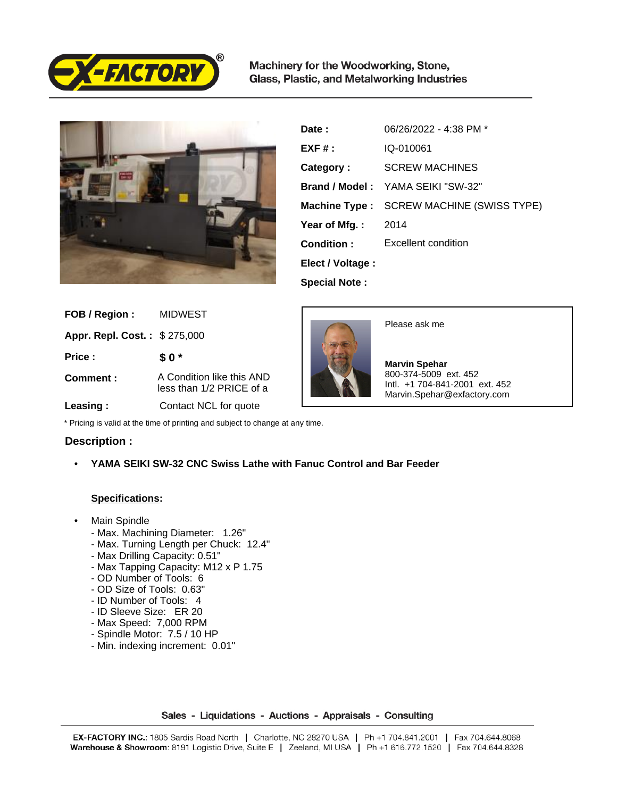

Machinery for the Woodworking, Stone, Glass, Plastic, and Metalworking Industries



| Date :               | 06/26/2022 - 4:38 PM *                          |
|----------------------|-------------------------------------------------|
| $EXF#$ :             | IQ-010061                                       |
| Category:            | <b>SCREW MACHINES</b>                           |
|                      | <b>Brand / Model:</b> YAMA SEIKI "SW-32"        |
|                      | <b>Machine Type:</b> SCREW MACHINE (SWISS TYPE) |
| Year of Mfg. :       | 2014                                            |
| Condition:           | Excellent condition                             |
| Elect / Voltage :    |                                                 |
| <b>Special Note:</b> |                                                 |

| FOB / Region :               | MIDWEST                                               |
|------------------------------|-------------------------------------------------------|
| Appr. Repl. Cost.: \$275,000 |                                                       |
| Price:                       | \$0*                                                  |
| Comment:                     | A Condition like this AND<br>less than 1/2 PRICE of a |
| Leasing:                     | Contact NCL for quote                                 |



Please ask me

 **Marvin Spehar** 800-374-5009 ext. 452 Intl. +1 704-841-2001 ext. 452 Marvin.Spehar@exfactory.com

\* Pricing is valid at the time of printing and subject to change at any time.

## **Description :**

• **YAMA SEIKI SW-32 CNC Swiss Lathe with Fanuc Control and Bar Feeder**

## **Specifications:**

- Main Spindle
	- Max. Machining Diameter: 1.26"
	- Max. Turning Length per Chuck: 12.4"
	- Max Drilling Capacity: 0.51"
	- Max Tapping Capacity: M12 x P 1.75
	- OD Number of Tools: 6
	- OD Size of Tools: 0.63"
	- ID Number of Tools: 4
	- ID Sleeve Size: ER 20
	- Max Speed: 7,000 RPM
	- Spindle Motor: 7.5 / 10 HP
	- Min. indexing increment: 0.01"

Sales - Liquidations - Auctions - Appraisals - Consulting